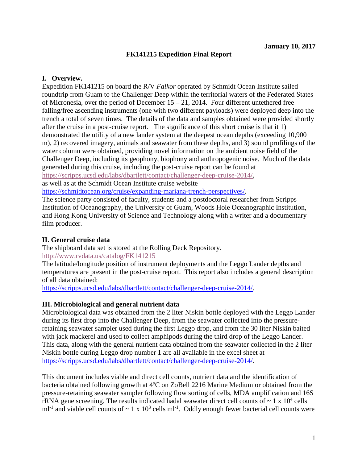### **FK141215 Expedition Final Report**

### **I. Overview.**

Expedition FK141215 on board the R/V *Falkor* operated by Schmidt Ocean Institute sailed roundtrip from Guam to the Challenger Deep within the territorial waters of the Federated States of Micronesia, over the period of December 15 – 21, 2014. Four different untethered free falling/free ascending instruments (one with two different payloads) were deployed deep into the trench a total of seven times. The details of the data and samples obtained were provided shortly after the cruise in a post-cruise report. The significance of this short cruise is that it 1) demonstrated the utility of a new lander system at the deepest ocean depths (exceeding 10,900 m), 2) recovered imagery, animals and seawater from these depths, and 3) sound profilings of the water column were obtained, providing novel information on the ambient noise field of the Challenger Deep, including its geophony, biophony and anthropogenic noise. Much of the data generated during this cruise, including the post-cruise report can be found at [https://scripps.ucsd.edu/labs/dbartlett/contact/challenger-deep-cruise-2014/,](https://scripps.ucsd.edu/labs/dbartlett/contact/challenger-deep-cruise-2014/) as well as at the Schmidt Ocean Institute cruise website

[https://schmidtocean.org/cruise/expanding-mariana-trench-perspectives/.](https://schmidtocean.org/cruise/expanding-mariana-trench-perspectives/)

The science party consisted of faculty, students and a postdoctoral researcher from Scripps Institution of Oceanography, the University of Guam, Woods Hole Oceanographic Institution, and Hong Kong University of Science and Technology along with a writer and a documentary film producer.

#### **II. General cruise data**

The shipboard data set is stored at the Rolling Deck Repository. <http://www.rvdata.us/catalog/FK141215>

The latitude/longitude position of instrument deployments and the Leggo Lander depths and temperatures are present in the post-cruise report. This report also includes a general description of all data obtained:

[https://scripps.ucsd.edu/labs/dbartlett/contact/challenger-deep-cruise-2014/.](https://scripps.ucsd.edu/labs/dbartlett/contact/challenger-deep-cruise-2014/)

#### **III. Microbiological and general nutrient data**

Microbiological data was obtained from the 2 liter Niskin bottle deployed with the Leggo Lander during its first drop into the Challenger Deep, from the seawater collected into the pressureretaining seawater sampler used during the first Leggo drop, and from the 30 liter Niskin baited with jack mackerel and used to collect amphipods during the third drop of the Leggo Lander. This data, along with the general nutrient data obtained from the seawater collected in the 2 liter Niskin bottle during Leggo drop number 1 are all available in the excel sheet at [https://scripps.ucsd.edu/labs/dbartlett/contact/challenger-deep-cruise-2014/.](https://scripps.ucsd.edu/labs/dbartlett/contact/challenger-deep-cruise-2014/)

This document includes viable and direct cell counts, nutrient data and the identification of bacteria obtained following growth at 4ºC on ZoBell 2216 Marine Medium or obtained from the pressure-retaining seawater sampler following flow sorting of cells, MDA amplification and 16S rRNA gene screening. The results indicated hadal seawater direct cell counts of  $\sim 1 \times 10^4$  cells ml<sup>-1</sup> and viable cell counts of  $\sim 1 \times 10^3$  cells ml<sup>-1</sup>. Oddly enough fewer bacterial cell counts were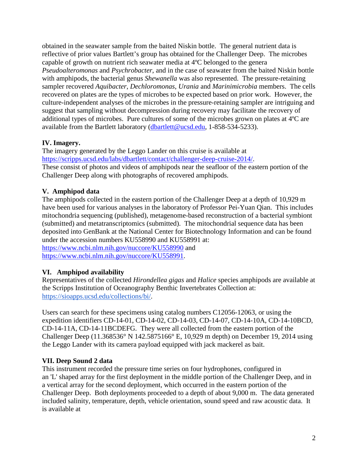obtained in the seawater sample from the baited Niskin bottle. The general nutrient data is reflective of prior values Bartlett's group has obtained for the Challenger Deep. The microbes capable of growth on nutrient rich seawater media at 4ºC belonged to the genera *Pseudoalteromonas* and *Psychrobacter*, and in the case of seawater from the baited Niskin bottle with amphipods, the bacterial genus *Shewanella* was also represented. The pressure-retaining sampler recovered *Aquibacter*, *Dechloromonas*, *Urania* and *Marinimicrobia* members. The cells recovered on plates are the types of microbes to be expected based on prior work. However, the culture-independent analyses of the microbes in the pressure-retaining sampler are intriguing and suggest that sampling without decompression during recovery may facilitate the recovery of additional types of microbes. Pure cultures of some of the microbes grown on plates at 4ºC are available from the Bartlett laboratory [\(dbartlett@ucsd.edu,](mailto:dbartlett@ucsd.edu) 1-858-534-5233).

## **IV. Imagery.**

The imagery generated by the Leggo Lander on this cruise is available at [https://scripps.ucsd.edu/labs/dbartlett/contact/challenger-deep-cruise-2014/.](https://scripps.ucsd.edu/labs/dbartlett/contact/challenger-deep-cruise-2014/) These consist of photos and videos of amphipods near the seafloor of the eastern portion of the Challenger Deep along with photographs of recovered amphipods.

# **V. Amphipod data**

The amphipods collected in the eastern portion of the Challenger Deep at a depth of 10,929 m have been used for various analyses in the laboratory of Professor Pei-Yuan Qian. This includes mitochondria sequencing (published), metagenome-based reconstruction of a bacterial symbiont (submitted) and metatranscriptomics (submitted). The mitochondrial sequence data has been deposited into GenBank at the National Center for Biotechnology Information and can be found under the accession numbers KU558990 and KU558991 at: <https://www.ncbi.nlm.nih.gov/nuccore/KU558990> and [https://www.ncbi.nlm.nih.gov/nuccore/KU558991.](https://www.ncbi.nlm.nih.gov/nuccore/KU558991)

# **VI. Amphipod availability**

Representatives of the collected *Hirondellea gigas* and *Halice* species amphipods are available at the Scripps Institution of Oceanography Benthic Invertebrates Collection at: [https://sioapps.ucsd.edu/collections/bi/.](https://sioapps.ucsd.edu/collections/bi/)

Users can search for these specimens using catalog numbers C12056-12063, or using the expedition identifiers CD-14-01, CD-14-02, CD-14-03, CD-14-07, CD-14-10A, CD-14-10BCD, CD-14-11A, CD-14-11BCDEFG. They were all collected from the eastern portion of the Challenger Deep (11.368536° N 142.5875166° E, 10,929 m depth) on December 19, 2014 using the Leggo Lander with its camera payload equipped with jack mackerel as bait.

# **VII. Deep Sound 2 data**

This instrument recorded the pressure time series on four hydrophones, configured in an 'L' shaped array for the first deployment in the middle portion of the Challenger Deep, and in a vertical array for the second deployment, which occurred in the eastern portion of the Challenger Deep. Both deployments proceeded to a depth of about 9,000 m. The data generated included salinity, temperature, depth, vehicle orientation, sound speed and raw acoustic data. It is available at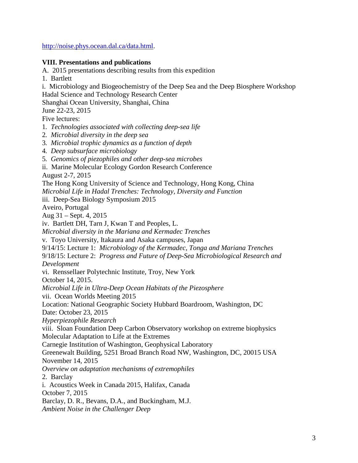[http://noise.phys.ocean.dal.ca/data.html.](http://noise.phys.ocean.dal.ca/data.html)

#### **VIII. Presentations and publications**

A. 2015 presentations describing results from this expedition

1. Bartlett

i. Microbiology and Biogeochemistry of the Deep Sea and the Deep Biosphere Workshop Hadal Science and Technology Research Center Shanghai Ocean University, Shanghai, China June 22-23, 2015 Five lectures: 1*. Technologies associated with collecting deep-sea life*  2*. Microbial diversity in the deep sea*  3*. Microbial trophic dynamics as a function of depth*  4*. Deep subsurface microbiology*  5*. Genomics of piezophiles and other deep-sea microbes*  ii. Marine Molecular Ecology Gordon Research Conference August 2-7, 2015 The Hong Kong University of Science and Technology, Hong Kong, China *Microbial Life in Hadal Trenches: Technology, Diversity and Function* iii. Deep-Sea Biology Symposium 2015 Aveiro, Portugal Aug 31 – Sept. 4, 2015 iv. Bartlett DH, Tarn J, Kwan T and Peoples, L. *Microbial diversity in the Mariana and Kermadec Trenches* v. Toyo University, Itakaura and Asaka campuses, Japan 9/14/15: Lecture 1: *Microbiology of the Kermadec, Tonga and Mariana Trenches* 9/18/15: Lecture 2: *Progress and Future of Deep-Sea Microbiological Research and Development*  vi. Renssellaer Polytechnic Institute, Troy, New York October 14, 2015. *Microbial Life in Ultra-Deep Ocean Habitats of the Piezosphere* vii. Ocean Worlds Meeting 2015 Location: National Geographic Society Hubbard Boardroom, Washington, DC Date: October 23, 2015 *Hyperpiezophile Research* viii. Sloan Foundation Deep Carbon Observatory workshop on extreme biophysics Molecular Adaptation to Life at the Extremes Carnegie Institution of Washington, Geophysical Laboratory Greenewalt Building, 5251 Broad Branch Road NW, Washington, DC, 20015 USA November 14, 2015 *Overview on adaptation mechanisms of extremophiles* 2. Barclay i. Acoustics Week in Canada 2015, Halifax, Canada October 7, 2015 Barclay, D. R., Bevans, D.A., and Buckingham, M.J. *Ambient Noise in the Challenger Deep*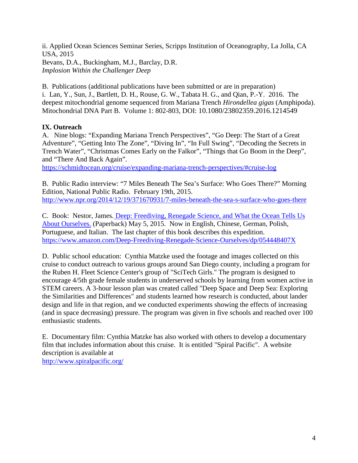ii. Applied Ocean Sciences Seminar Series, Scripps Institution of Oceanography, La Jolla, CA USA, 2015 Bevans, D.A., Buckingham, M.J., Barclay, D.R. *Implosion Within the Challenger Deep*

B. Publications (additional publications have been submitted or are in preparation) i. Lan, Y., Sun, J., Bartlett, D. H., Rouse, G. W., Tabata H. G., and Qian, P.-Y. 2016. The deepest mitochondrial genome sequenced from Mariana Trench *Hirondellea gigas* (Amphipoda). Mitochondrial DNA Part B. Volume 1: 802-803, DOI: 10.1080/23802359.2016.1214549

## **IX. Outreach**

A. Nine blogs: "Expanding Mariana Trench Perspectives", "Go Deep: The Start of a Great Adventure", "Getting Into The Zone", "Diving In", "In Full Swing", "Decoding the Secrets in Trench Water", "Christmas Comes Early on the Falkor", "Things that Go Boom in the Deep", and "There And Back Again".

<https://schmidtocean.org/cruise/expanding-mariana-trench-perspectives/#cruise-log>

B. Public Radio interview: "7 Miles Beneath The Sea's Surface: Who Goes There?" Morning Edition, National Public Radio. February 19th, 2015. <http://www.npr.org/2014/12/19/371670931/7-miles-beneath-the-sea-s-surface-who-goes-there>

C. Book: Nestor, James. [Deep: Freediving, Renegade Science, and What the Ocean Tells Us](http://www.amazon.com/Deep-Freediving-Renegade-Science-Ourselves/dp/054448407X)  [About Ourselves.](http://www.amazon.com/Deep-Freediving-Renegade-Science-Ourselves/dp/054448407X) (Paperback) May 5, 2015. Now in English, Chinese, German, Polish, Portuguese, and Italian. The last chapter of this book describes this expedition. <https://www.amazon.com/Deep-Freediving-Renegade-Science-Ourselves/dp/054448407X>

D. Public school education: Cynthia Matzke used the footage and images collected on this cruise to conduct outreach to various groups around San Diego county, including a program for the Ruben H. Fleet Science Center's group of "SciTech Girls." The program is designed to encourage 4/5th grade female students in underserved schools by learning from women active in STEM careers. A 3-hour lesson plan was created called "Deep Space and Deep Sea: Exploring the Similarities and Differences" and students learned how research is conducted, about lander design and life in that region, and we conducted experiments showing the effects of increasing (and in space decreasing) pressure. The program was given in five schools and reached over 100 enthusiastic students.

E. Documentary film: Cynthia Matzke has also worked with others to develop a documentary film that includes information about this cruise. It is entitled "Spiral Pacific". A website description is available at

<http://www.spiralpacific.org/>